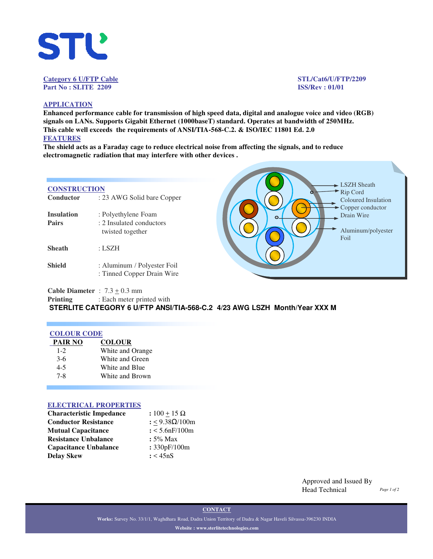

## **Category 6 U/FTP Cable STL/Cat6/U/FTP/2209 Part No : SLITE 2209 ISS/Rev : 01/01**

## **APPLICATION**

**Enhanced performance cable for transmission of high speed data, digital and analogue voice and video (RGB) signals on LANs. Supports Gigabit Ethernet (1000baseT) standard. Operates at bandwidth of 250MHz. This cable well exceeds the requirements of ANSI/TIA-568-C.2. & ISO/IEC 11801 Ed. 2.0 FEATURES**

**The shield acts as a Faraday cage to reduce electrical noise from affecting the signals, and to reduce electromagnetic radiation that may interfere with other devices .** 

## **CONSTRUCTION**

| Conductor                         | : 23 AWG Solid bare Copper                                          |
|-----------------------------------|---------------------------------------------------------------------|
| <b>Insulation</b><br><b>Pairs</b> | : Polyethylene Foam<br>: 2 Insulated conductors<br>twisted together |
| Sheath                            | : LSZH                                                              |
| Shield                            | : Aluminum / Polyester Foil<br>: Tinned Copper Drain Wire           |
|                                   |                                                                     |



**Cable Diameter** :  $7.3 \pm 0.3$  mm

**Printing** : Each meter printed with

**STERLITE CATEGORY 6 U/FTP ANSI/TIA-568-C.2 4/23 AWG LSZH Month/Year XXX M**

## **COLOUR CODE**

| PAIR NO | <b>COLOUR</b>    |
|---------|------------------|
| $1 - 2$ | White and Orange |
| $3-6$   | White and Green  |
| $4 - 5$ | White and Blue   |
| 7-8     | White and Brown  |
|         |                  |

## **ELECTRICAL PROPERTIES**

| <b>Characteristic Impedance</b> | : $100 + 15 \Omega$ |
|---------------------------------|---------------------|
| <b>Conductor Resistance</b>     | : <9.38Ω/100m       |
| <b>Mutual Capacitance</b>       | : 5.6nF/100m        |
| <b>Resistance Unbalance</b>     | $: 5\%$ Max         |
| <b>Capacitance Unbalance</b>    | : 330pF/100m        |
| <b>Delay Skew</b>               | : < 45nS            |

Approved and Issued By Head Technical *Page 1 of 2*

**CONTACT**

**Works:** Survey No. 33/1/1, Waghdhara Road, Dadra Union Territory of Dadra & Nagar Haveli Silvassa-396230 INDIA **Website : www.sterlitetechnologies.com**